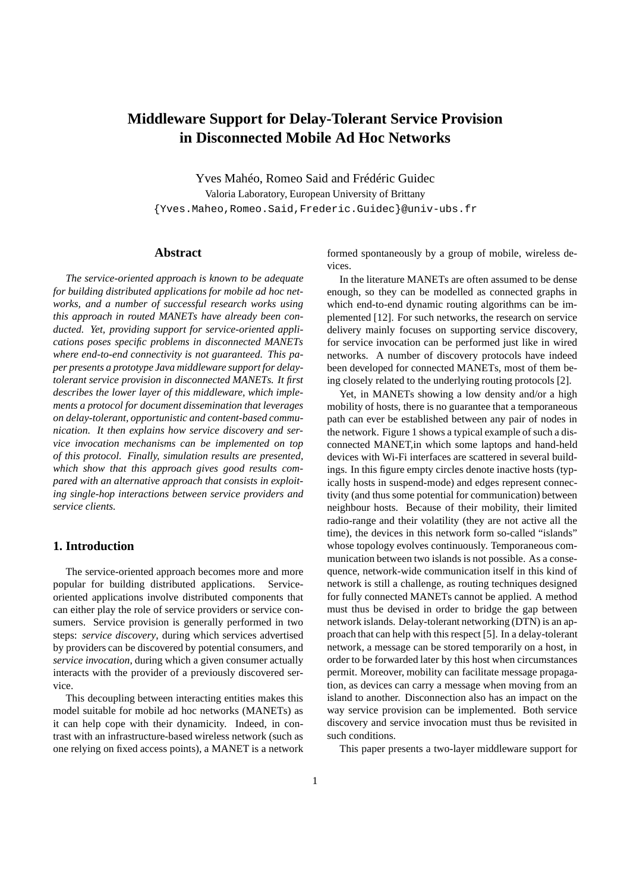# **Middleware Support for Delay-Tolerant Service Provision in Disconnected Mobile Ad Hoc Networks**

Yves Mahéo, Romeo Said and Frédéric Guidec Valoria Laboratory, European University of Brittany {Yves.Maheo,Romeo.Said,Frederic.Guidec}@univ-ubs.fr

# **Abstract**

*The service-oriented approach is known to be adequate for building distributed applications for mobile ad hoc networks, and a number of successful research works using this approach in routed MANETs have already been conducted. Yet, providing support for service-oriented applications poses specific problems in disconnected MANETs where end-to-end connectivity is not guaranteed. This paper presents a prototype Java middleware support for delaytolerant service provision in disconnected MANETs. It first describes the lower layer of this middleware, which implements a protocol for document dissemination that leverages on delay-tolerant, opportunistic and content-based communication. It then explains how service discovery and service invocation mechanisms can be implemented on top of this protocol. Finally, simulation results are presented, which show that this approach gives good results compared with an alternative approach that consists in exploiting single-hop interactions between service providers and service clients.*

#### **1. Introduction**

The service-oriented approach becomes more and more popular for building distributed applications. Serviceoriented applications involve distributed components that can either play the role of service providers or service consumers. Service provision is generally performed in two steps: *service discovery*, during which services advertised by providers can be discovered by potential consumers, and *service invocation*, during which a given consumer actually interacts with the provider of a previously discovered service.

This decoupling between interacting entities makes this model suitable for mobile ad hoc networks (MANETs) as it can help cope with their dynamicity. Indeed, in contrast with an infrastructure-based wireless network (such as one relying on fixed access points), a MANET is a network formed spontaneously by a group of mobile, wireless devices.

In the literature MANETs are often assumed to be dense enough, so they can be modelled as connected graphs in which end-to-end dynamic routing algorithms can be implemented [12]. For such networks, the research on service delivery mainly focuses on supporting service discovery, for service invocation can be performed just like in wired networks. A number of discovery protocols have indeed been developed for connected MANETs, most of them being closely related to the underlying routing protocols [2].

Yet, in MANETs showing a low density and/or a high mobility of hosts, there is no guarantee that a temporaneous path can ever be established between any pair of nodes in the network. Figure 1 shows a typical example of such a disconnected MANET,in which some laptops and hand-held devices with Wi-Fi interfaces are scattered in several buildings. In this figure empty circles denote inactive hosts (typically hosts in suspend-mode) and edges represent connectivity (and thus some potential for communication) between neighbour hosts. Because of their mobility, their limited radio-range and their volatility (they are not active all the time), the devices in this network form so-called "islands" whose topology evolves continuously. Temporaneous communication between two islands is not possible. As a consequence, network-wide communication itself in this kind of network is still a challenge, as routing techniques designed for fully connected MANETs cannot be applied. A method must thus be devised in order to bridge the gap between network islands. Delay-tolerant networking (DTN) is an approach that can help with this respect [5]. In a delay-tolerant network, a message can be stored temporarily on a host, in order to be forwarded later by this host when circumstances permit. Moreover, mobility can facilitate message propagation, as devices can carry a message when moving from an island to another. Disconnection also has an impact on the way service provision can be implemented. Both service discovery and service invocation must thus be revisited in such conditions.

This paper presents a two-layer middleware support for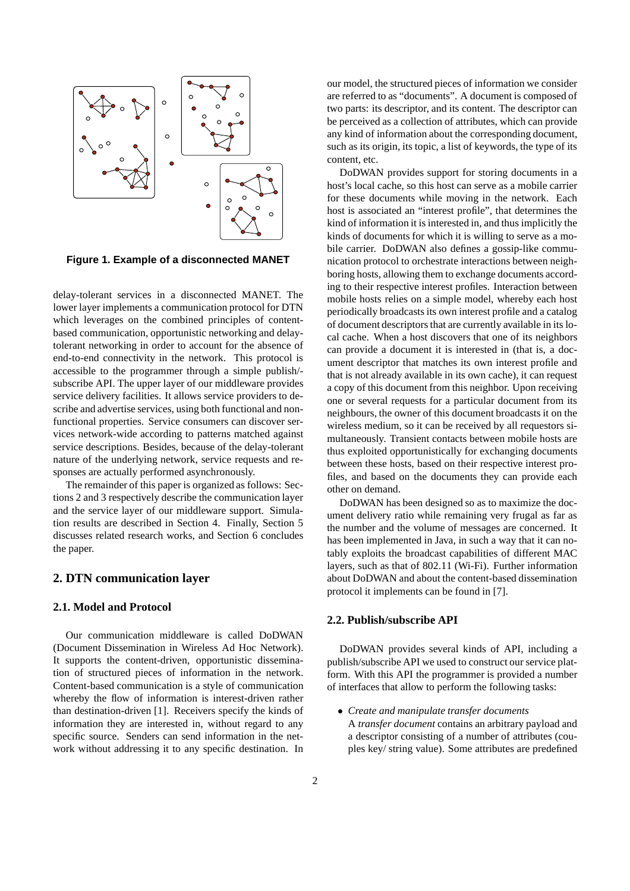

**Figure 1. Example of a disconnected MANET**

delay-tolerant services in a disconnected MANET. The lower layer implements a communication protocol for DTN which leverages on the combined principles of contentbased communication, opportunistic networking and delaytolerant networking in order to account for the absence of end-to-end connectivity in the network. This protocol is accessible to the programmer through a simple publish/ subscribe API. The upper layer of our middleware provides service delivery facilities. It allows service providers to describe and advertise services, using both functional and nonfunctional properties. Service consumers can discover services network-wide according to patterns matched against service descriptions. Besides, because of the delay-tolerant nature of the underlying network, service requests and responses are actually performed asynchronously.

The remainder of this paper is organized as follows: Sections 2 and 3 respectively describe the communication layer and the service layer of our middleware support. Simulation results are described in Section 4. Finally, Section 5 discusses related research works, and Section 6 concludes the paper.

## **2. DTN communication layer**

## **2.1. Model and Protocol**

Our communication middleware is called DoDWAN (Document Dissemination in Wireless Ad Hoc Network). It supports the content-driven, opportunistic dissemination of structured pieces of information in the network. Content-based communication is a style of communication whereby the flow of information is interest-driven rather than destination-driven [1]. Receivers specify the kinds of information they are interested in, without regard to any specific source. Senders can send information in the network without addressing it to any specific destination. In our model, the structured pieces of information we consider are referred to as "documents". A document is composed of two parts: its descriptor, and its content. The descriptor can be perceived as a collection of attributes, which can provide any kind of information about the corresponding document, such as its origin, its topic, a list of keywords, the type of its content, etc.

DoDWAN provides support for storing documents in a host's local cache, so this host can serve as a mobile carrier for these documents while moving in the network. Each host is associated an "interest profile", that determines the kind of information it is interested in, and thus implicitly the kinds of documents for which it is willing to serve as a mobile carrier. DoDWAN also defines a gossip-like communication protocol to orchestrate interactions between neighboring hosts, allowing them to exchange documents according to their respective interest profiles. Interaction between mobile hosts relies on a simple model, whereby each host periodically broadcasts its own interest profile and a catalog of document descriptors that are currently available in its local cache. When a host discovers that one of its neighbors can provide a document it is interested in (that is, a document descriptor that matches its own interest profile and that is not already available in its own cache), it can request a copy of this document from this neighbor. Upon receiving one or several requests for a particular document from its neighbours, the owner of this document broadcasts it on the wireless medium, so it can be received by all requestors simultaneously. Transient contacts between mobile hosts are thus exploited opportunistically for exchanging documents between these hosts, based on their respective interest profiles, and based on the documents they can provide each other on demand.

DoDWAN has been designed so as to maximize the document delivery ratio while remaining very frugal as far as the number and the volume of messages are concerned. It has been implemented in Java, in such a way that it can notably exploits the broadcast capabilities of different MAC layers, such as that of 802.11 (Wi-Fi). Further information about DoDWAN and about the content-based dissemination protocol it implements can be found in [7].

#### **2.2. Publish/subscribe API**

DoDWAN provides several kinds of API, including a publish/subscribe API we used to construct our service platform. With this API the programmer is provided a number of interfaces that allow to perform the following tasks:

• *Create and manipulate transfer documents* A *transfer document* contains an arbitrary payload and a descriptor consisting of a number of attributes (couples key/ string value). Some attributes are predefined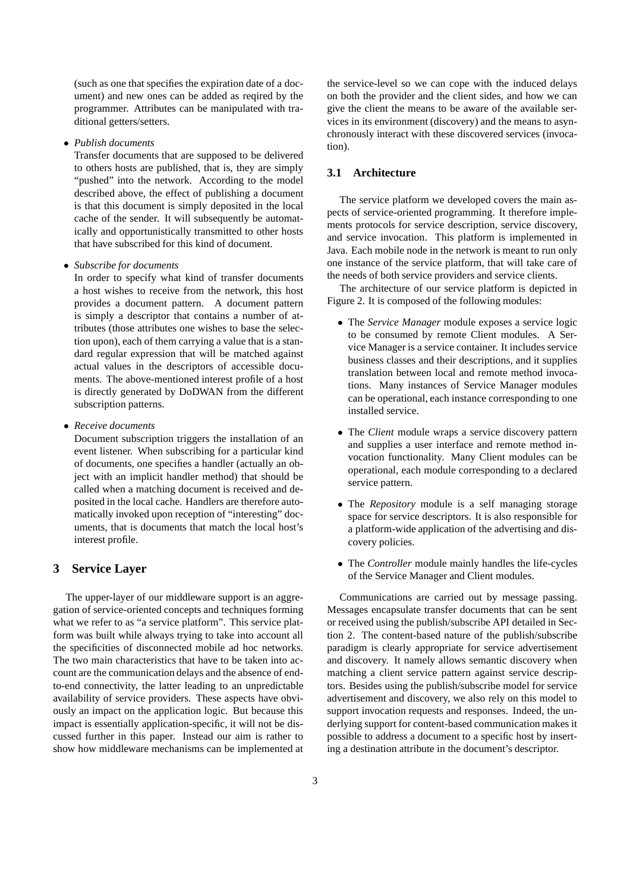(such as one that specifies the expiration date of a document) and new ones can be added as reqired by the programmer. Attributes can be manipulated with traditional getters/setters.

• *Publish documents*

Transfer documents that are supposed to be delivered to others hosts are published, that is, they are simply "pushed" into the network. According to the model described above, the effect of publishing a document is that this document is simply deposited in the local cache of the sender. It will subsequently be automatically and opportunistically transmitted to other hosts that have subscribed for this kind of document.

• *Subscribe for documents*

In order to specify what kind of transfer documents a host wishes to receive from the network, this host provides a document pattern. A document pattern is simply a descriptor that contains a number of attributes (those attributes one wishes to base the selection upon), each of them carrying a value that is a standard regular expression that will be matched against actual values in the descriptors of accessible documents. The above-mentioned interest profile of a host is directly generated by DoDWAN from the different subscription patterns.

• *Receive documents*

Document subscription triggers the installation of an event listener. When subscribing for a particular kind of documents, one specifies a handler (actually an object with an implicit handler method) that should be called when a matching document is received and deposited in the local cache. Handlers are therefore automatically invoked upon reception of "interesting" documents, that is documents that match the local host's interest profile.

## **3 Service Layer**

The upper-layer of our middleware support is an aggregation of service-oriented concepts and techniques forming what we refer to as "a service platform". This service platform was built while always trying to take into account all the specificities of disconnected mobile ad hoc networks. The two main characteristics that have to be taken into account are the communication delays and the absence of endto-end connectivity, the latter leading to an unpredictable availability of service providers. These aspects have obviously an impact on the application logic. But because this impact is essentially application-specific, it will not be discussed further in this paper. Instead our aim is rather to show how middleware mechanisms can be implemented at the service-level so we can cope with the induced delays on both the provider and the client sides, and how we can give the client the means to be aware of the available services in its environment (discovery) and the means to asynchronously interact with these discovered services (invocation).

## **3.1 Architecture**

The service platform we developed covers the main aspects of service-oriented programming. It therefore implements protocols for service description, service discovery, and service invocation. This platform is implemented in Java. Each mobile node in the network is meant to run only one instance of the service platform, that will take care of the needs of both service providers and service clients.

The architecture of our service platform is depicted in Figure 2. It is composed of the following modules:

- The *Service Manager* module exposes a service logic to be consumed by remote Client modules. A Service Manager is a service container. It includes service business classes and their descriptions, and it supplies translation between local and remote method invocations. Many instances of Service Manager modules can be operational, each instance corresponding to one installed service.
- The *Client* module wraps a service discovery pattern and supplies a user interface and remote method invocation functionality. Many Client modules can be operational, each module corresponding to a declared service pattern.
- The *Repository* module is a self managing storage space for service descriptors. It is also responsible for a platform-wide application of the advertising and discovery policies.
- The *Controller* module mainly handles the life-cycles of the Service Manager and Client modules.

Communications are carried out by message passing. Messages encapsulate transfer documents that can be sent or received using the publish/subscribe API detailed in Section 2. The content-based nature of the publish/subscribe paradigm is clearly appropriate for service advertisement and discovery. It namely allows semantic discovery when matching a client service pattern against service descriptors. Besides using the publish/subscribe model for service advertisement and discovery, we also rely on this model to support invocation requests and responses. Indeed, the underlying support for content-based communication makes it possible to address a document to a specific host by inserting a destination attribute in the document's descriptor.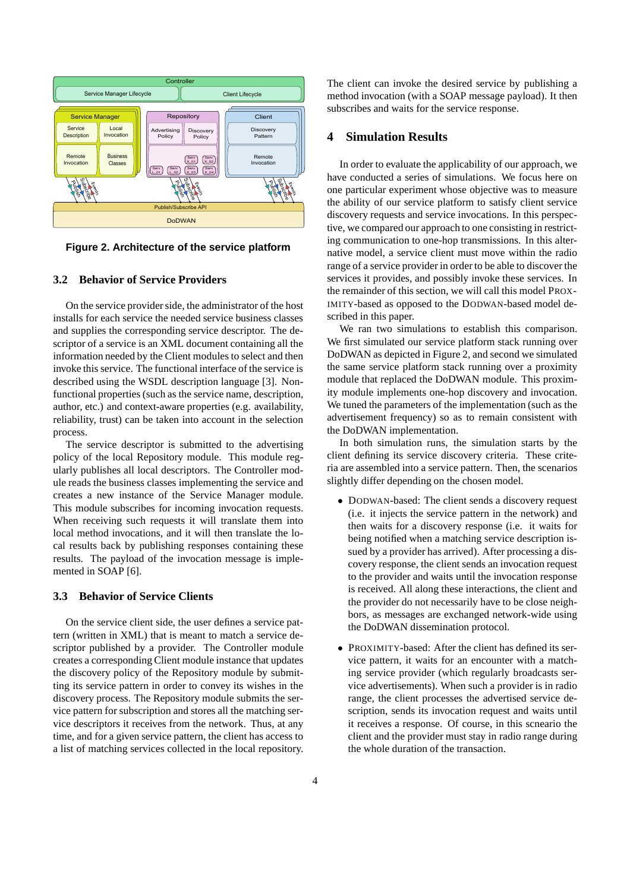

**Figure 2. Architecture of the service platform**

#### **3.2 Behavior of Service Providers**

On the service provider side, the administrator of the host installs for each service the needed service business classes and supplies the corresponding service descriptor. The descriptor of a service is an XML document containing all the information needed by the Client modules to select and then invoke this service. The functional interface of the service is described using the WSDL description language [3]. Nonfunctional properties (such as the service name, description, author, etc.) and context-aware properties (e.g. availability, reliability, trust) can be taken into account in the selection process.

The service descriptor is submitted to the advertising policy of the local Repository module. This module regularly publishes all local descriptors. The Controller module reads the business classes implementing the service and creates a new instance of the Service Manager module. This module subscribes for incoming invocation requests. When receiving such requests it will translate them into local method invocations, and it will then translate the local results back by publishing responses containing these results. The payload of the invocation message is implemented in SOAP [6].

#### **3.3 Behavior of Service Clients**

On the service client side, the user defines a service pattern (written in XML) that is meant to match a service descriptor published by a provider. The Controller module creates a corresponding Client module instance that updates the discovery policy of the Repository module by submitting its service pattern in order to convey its wishes in the discovery process. The Repository module submits the service pattern for subscription and stores all the matching service descriptors it receives from the network. Thus, at any time, and for a given service pattern, the client has access to a list of matching services collected in the local repository. The client can invoke the desired service by publishing a method invocation (with a SOAP message payload). It then subscribes and waits for the service response.

# **4 Simulation Results**

In order to evaluate the applicability of our approach, we have conducted a series of simulations. We focus here on one particular experiment whose objective was to measure the ability of our service platform to satisfy client service discovery requests and service invocations. In this perspective, we compared our approach to one consisting in restricting communication to one-hop transmissions. In this alternative model, a service client must move within the radio range of a service provider in order to be able to discover the services it provides, and possibly invoke these services. In the remainder of this section, we will call this model PROX-IMITY-based as opposed to the DODWAN-based model described in this paper.

We ran two simulations to establish this comparison. We first simulated our service platform stack running over DoDWAN as depicted in Figure 2, and second we simulated the same service platform stack running over a proximity module that replaced the DoDWAN module. This proximity module implements one-hop discovery and invocation. We tuned the parameters of the implementation (such as the advertisement frequency) so as to remain consistent with the DoDWAN implementation.

In both simulation runs, the simulation starts by the client defining its service discovery criteria. These criteria are assembled into a service pattern. Then, the scenarios slightly differ depending on the chosen model.

- DODWAN-based: The client sends a discovery request (i.e. it injects the service pattern in the network) and then waits for a discovery response (i.e. it waits for being notified when a matching service description issued by a provider has arrived). After processing a discovery response, the client sends an invocation request to the provider and waits until the invocation response is received. All along these interactions, the client and the provider do not necessarily have to be close neighbors, as messages are exchanged network-wide using the DoDWAN dissemination protocol.
- PROXIMITY-based: After the client has defined its service pattern, it waits for an encounter with a matching service provider (which regularly broadcasts service advertisements). When such a provider is in radio range, the client processes the advertised service description, sends its invocation request and waits until it receives a response. Of course, in this scneario the client and the provider must stay in radio range during the whole duration of the transaction.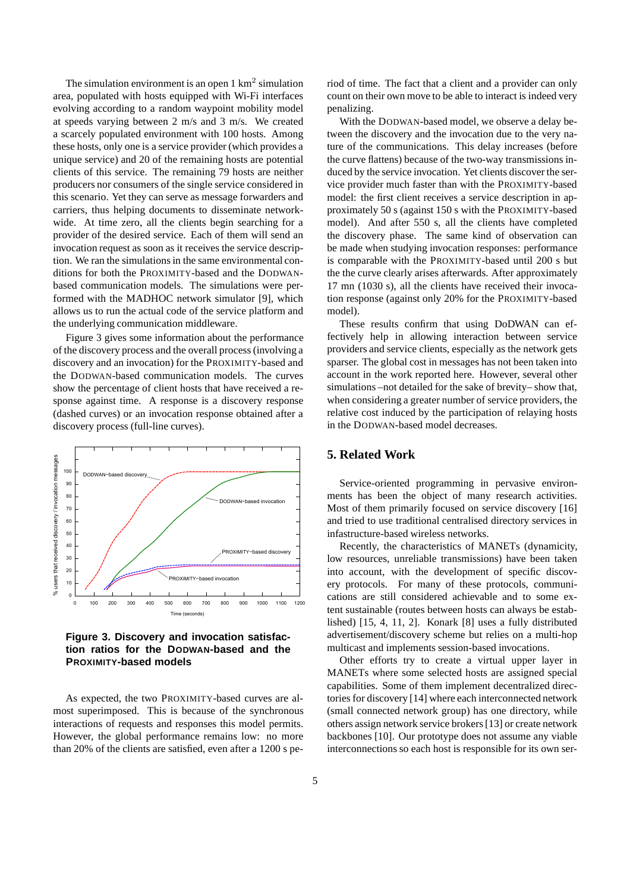The simulation environment is an open  $1 \text{ km}^2$  simulation area, populated with hosts equipped with Wi-Fi interfaces evolving according to a random waypoint mobility model at speeds varying between 2 m/s and 3 m/s. We created a scarcely populated environment with 100 hosts. Among these hosts, only one is a service provider (which provides a unique service) and 20 of the remaining hosts are potential clients of this service. The remaining 79 hosts are neither producers nor consumers of the single service considered in this scenario. Yet they can serve as message forwarders and carriers, thus helping documents to disseminate networkwide. At time zero, all the clients begin searching for a provider of the desired service. Each of them will send an invocation request as soon as it receives the service description. We ran the simulations in the same environmental conditions for both the PROXIMITY-based and the DODWANbased communication models. The simulations were performed with the MADHOC network simulator [9], which allows us to run the actual code of the service platform and the underlying communication middleware.

Figure 3 gives some information about the performance of the discovery process and the overall process (involving a discovery and an invocation) for the PROXIMITY-based and the DODWAN-based communication models. The curves show the percentage of client hosts that have received a response against time. A response is a discovery response (dashed curves) or an invocation response obtained after a discovery process (full-line curves).



**Figure 3. Discovery and invocation satisfaction ratios for the DODWAN-based and the PROXIMITY-based models**

As expected, the two PROXIMITY-based curves are almost superimposed. This is because of the synchronous interactions of requests and responses this model permits. However, the global performance remains low: no more than 20% of the clients are satisfied, even after a 1200 s period of time. The fact that a client and a provider can only count on their own move to be able to interact is indeed very penalizing.

With the DODWAN-based model, we observe a delay between the discovery and the invocation due to the very nature of the communications. This delay increases (before the curve flattens) because of the two-way transmissions induced by the service invocation. Yet clients discover the service provider much faster than with the PROXIMITY-based model: the first client receives a service description in approximately 50 s (against 150 s with the PROXIMITY-based model). And after 550 s, all the clients have completed the discovery phase. The same kind of observation can be made when studying invocation responses: performance is comparable with the PROXIMITY-based until 200 s but the the curve clearly arises afterwards. After approximately 17 mn (1030 s), all the clients have received their invocation response (against only 20% for the PROXIMITY-based model).

These results confirm that using DoDWAN can effectively help in allowing interaction between service providers and service clients, especially as the network gets sparser. The global cost in messages has not been taken into account in the work reported here. However, several other simulations –not detailed for the sake of brevity– show that, when considering a greater number of service providers, the relative cost induced by the participation of relaying hosts in the DODWAN-based model decreases.

#### **5. Related Work**

Service-oriented programming in pervasive environments has been the object of many research activities. Most of them primarily focused on service discovery [16] and tried to use traditional centralised directory services in infastructure-based wireless networks.

Recently, the characteristics of MANETs (dynamicity, low resources, unreliable transmissions) have been taken into account, with the development of specific discovery protocols. For many of these protocols, communications are still considered achievable and to some extent sustainable (routes between hosts can always be established) [15, 4, 11, 2]. Konark [8] uses a fully distributed advertisement/discovery scheme but relies on a multi-hop multicast and implements session-based invocations.

Other efforts try to create a virtual upper layer in MANETs where some selected hosts are assigned special capabilities. Some of them implement decentralized directories for discovery [14] where each interconnected network (small connected network group) has one directory, while others assign network service brokers [13] or create network backbones [10]. Our prototype does not assume any viable interconnections so each host is responsible for its own ser